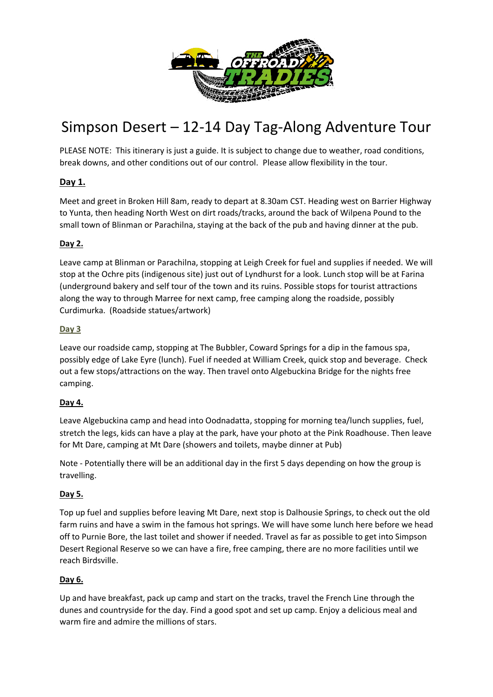

# Simpson Desert – 12-14 Day Tag-Along Adventure Tour

PLEASE NOTE: This itinerary is just a guide. It is subject to change due to weather, road conditions, break downs, and other conditions out of our control. Please allow flexibility in the tour.

# **Day 1.**

Meet and greet in Broken Hill 8am, ready to depart at 8.30am CST. Heading west on Barrier Highway to Yunta, then heading North West on dirt roads/tracks, around the back of Wilpena Pound to the small town of Blinman or Parachilna, staying at the back of the pub and having dinner at the pub.

## **Day 2.**

Leave camp at Blinman or Parachilna, stopping at Leigh Creek for fuel and supplies if needed. We will stop at the Ochre pits (indigenous site) just out of Lyndhurst for a look. Lunch stop will be at Farina (underground bakery and self tour of the town and its ruins. Possible stops for tourist attractions along the way to through Marree for next camp, free camping along the roadside, possibly Curdimurka. (Roadside statues/artwork)

#### **Day 3**

Leave our roadside camp, stopping at The Bubbler, Coward Springs for a dip in the famous spa, possibly edge of Lake Eyre (lunch). Fuel if needed at William Creek, quick stop and beverage. Check out a few stops/attractions on the way. Then travel onto Algebuckina Bridge for the nights free camping.

## **Day 4.**

Leave Algebuckina camp and head into Oodnadatta, stopping for morning tea/lunch supplies, fuel, stretch the legs, kids can have a play at the park, have your photo at the Pink Roadhouse. Then leave for Mt Dare, camping at Mt Dare (showers and toilets, maybe dinner at Pub)

Note - Potentially there will be an additional day in the first 5 days depending on how the group is travelling.

#### **Day 5.**

Top up fuel and supplies before leaving Mt Dare, next stop is Dalhousie Springs, to check out the old farm ruins and have a swim in the famous hot springs. We will have some lunch here before we head off to Purnie Bore, the last toilet and shower if needed. Travel as far as possible to get into Simpson Desert Regional Reserve so we can have a fire, free camping, there are no more facilities until we reach Birdsville.

#### **Day 6.**

Up and have breakfast, pack up camp and start on the tracks, travel the French Line through the dunes and countryside for the day. Find a good spot and set up camp. Enjoy a delicious meal and warm fire and admire the millions of stars.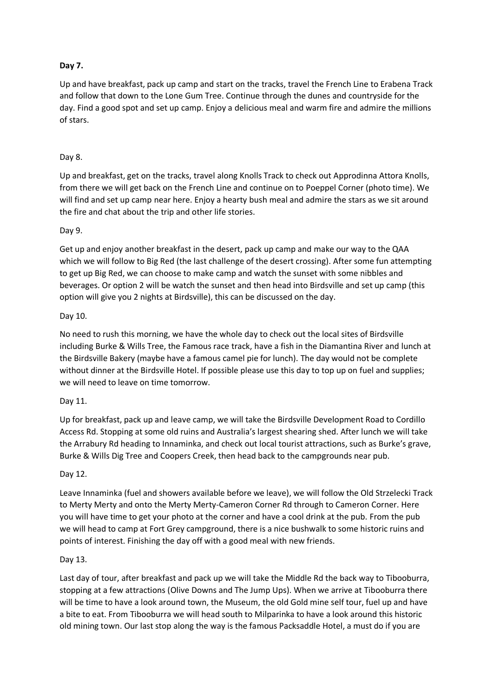#### **Day 7.**

Up and have breakfast, pack up camp and start on the tracks, travel the French Line to Erabena Track and follow that down to the Lone Gum Tree. Continue through the dunes and countryside for the day. Find a good spot and set up camp. Enjoy a delicious meal and warm fire and admire the millions of stars.

#### Day 8.

Up and breakfast, get on the tracks, travel along Knolls Track to check out Approdinna Attora Knolls, from there we will get back on the French Line and continue on to Poeppel Corner (photo time). We will find and set up camp near here. Enjoy a hearty bush meal and admire the stars as we sit around the fire and chat about the trip and other life stories.

#### Day 9.

Get up and enjoy another breakfast in the desert, pack up camp and make our way to the QAA which we will follow to Big Red (the last challenge of the desert crossing). After some fun attempting to get up Big Red, we can choose to make camp and watch the sunset with some nibbles and beverages. Or option 2 will be watch the sunset and then head into Birdsville and set up camp (this option will give you 2 nights at Birdsville), this can be discussed on the day.

#### Day 10.

No need to rush this morning, we have the whole day to check out the local sites of Birdsville including Burke & Wills Tree, the Famous race track, have a fish in the Diamantina River and lunch at the Birdsville Bakery (maybe have a famous camel pie for lunch). The day would not be complete without dinner at the Birdsville Hotel. If possible please use this day to top up on fuel and supplies; we will need to leave on time tomorrow.

#### Day 11.

Up for breakfast, pack up and leave camp, we will take the Birdsville Development Road to Cordillo Access Rd. Stopping at some old ruins and Australia's largest shearing shed. After lunch we will take the Arrabury Rd heading to Innaminka, and check out local tourist attractions, such as Burke's grave, Burke & Wills Dig Tree and Coopers Creek, then head back to the campgrounds near pub.

#### Day 12.

Leave Innaminka (fuel and showers available before we leave), we will follow the Old Strzelecki Track to Merty Merty and onto the Merty Merty-Cameron Corner Rd through to Cameron Corner. Here you will have time to get your photo at the corner and have a cool drink at the pub. From the pub we will head to camp at Fort Grey campground, there is a nice bushwalk to some historic ruins and points of interest. Finishing the day off with a good meal with new friends.

#### Day 13.

Last day of tour, after breakfast and pack up we will take the Middle Rd the back way to Tibooburra, stopping at a few attractions (Olive Downs and The Jump Ups). When we arrive at Tibooburra there will be time to have a look around town, the Museum, the old Gold mine self tour, fuel up and have a bite to eat. From Tibooburra we will head south to Milparinka to have a look around this historic old mining town. Our last stop along the way is the famous Packsaddle Hotel, a must do if you are